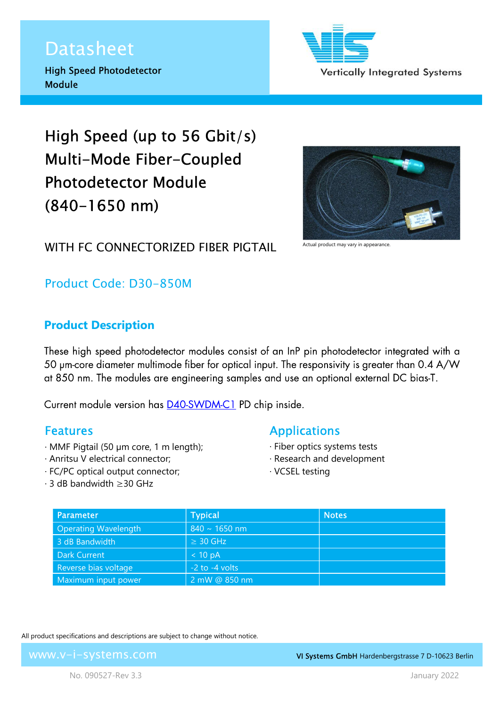## Datasheet

Ī

High Speed Photodetector Module

Vertically Integrated Systems

# High Speed (up to 56 Gbit/s) Multi-Mode Fiber-Coupled Photodetector Module (840-1650 nm)



### WITH FC CONNECTORIZED FIRER PIGTAIL

Product Code: D30-850M

#### Product Description

These high speed photodetector modules consist of an InP pin photodetector integrated with a 50 um-core diameter multimode fiber for optical input. The responsivity is greater than 0.4 A/W at 850 nm. The modules are engineering samples and use an optional external DC bias-T.

Current module version has **D40-SWDM-C1** PD chip inside.

#### Features

- · MMF Pigtail (50 µm core, 1 m length);
- · Anritsu V electrical connector;
- · FC/PC optical output connector;
- · 3 dB bandwidth ≥30 GHz

#### Applications

- · Fiber optics systems tests
- · Research and development
- · VCSEL testing

| Parameter                   | <b>Typical</b>     | <b>Notes</b> |
|-----------------------------|--------------------|--------------|
| <b>Operating Wavelength</b> | $840 \sim 1650$ nm |              |
| 3 dB Bandwidth              | $\geq$ 30 GHz      |              |
| <b>Dark Current</b>         | < 10 pA            |              |
| Reverse bias voltage        | $-2$ to $-4$ volts |              |
| Maximum input power         | 2 mW @ 850 nm      |              |

All product specifications and descriptions are subject to change without notice.

www.v-i-systems.com

VI Systems GmbH Hardenbergstrasse 7 D-10623 Berlin

No. 090527-Rev 3.3 January 2022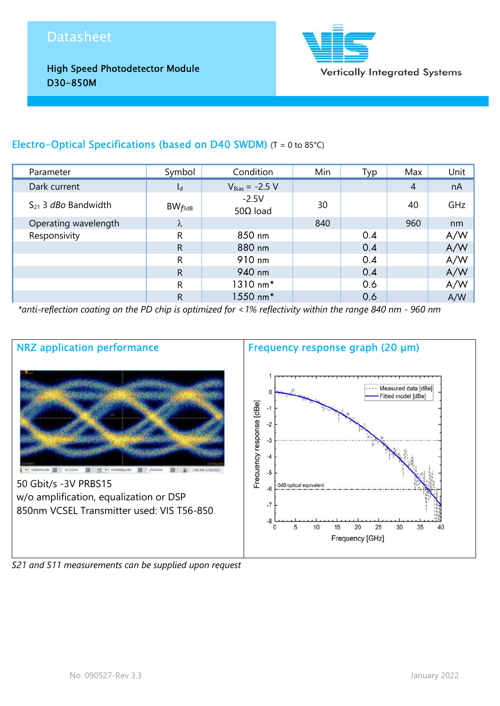## Datasheet

Ī

High Speed Photodetector Module D30-850M



#### Electro-Optical Specifications (based on D40 SWDM) (T = 0 to 85°C)

| Parameter                       | Symbol       | Condition                   | Min | Typ | Max            | Unit |
|---------------------------------|--------------|-----------------------------|-----|-----|----------------|------|
| Dark current                    | $I_d$        | $V_{Bias} = -2.5 V$         |     |     | $\overline{4}$ | nA   |
| $S_{21}$ 3 <i>dBo</i> Bandwidth | $BW_{f3dB}$  | $-2.5V$<br>50 $\Omega$ load | 30  |     | 40             | GHz  |
| Operating wavelength            | λ            |                             | 840 |     | 960            | nm   |
| Responsivity                    | R            | 850 nm                      |     | 0.4 |                | A/W  |
|                                 | R            | 880 nm                      |     | 0.4 |                | A/W  |
|                                 | R            | 910 nm                      |     | 0.4 |                | A/W  |
|                                 | $\mathsf{R}$ | 940 nm                      |     | 0.4 |                | A/W  |
|                                 | R            | 1310 nm*                    |     | 0.6 |                | A/W  |
|                                 | R            | 1550 nm*                    |     | 0.6 |                | A/W  |

\*anti-reflection coating on the PD chip is optimized for <1% reflectivity within the range 840 nm - 960 nm



S21 and S11 measurements can be supplied upon request